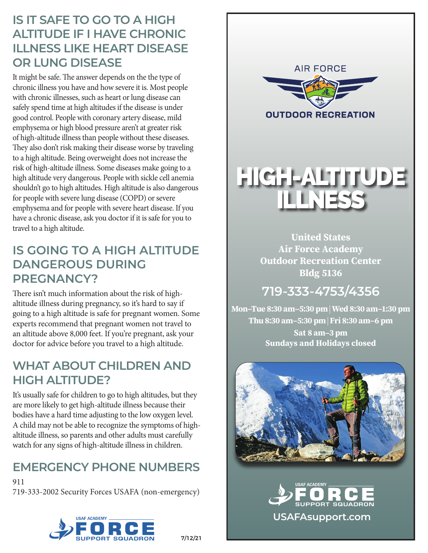#### **IS IT SAFE TO GO TO A HIGH ALTITUDE IF I HAVE CHRONIC ILLNESS LIKE HEART DISEASE OR LUNG DISEASE**

It might be safe. The answer depends on the the type of chronic illness you have and how severe it is. Most people with chronic illnesses, such as heart or lung disease can safely spend time at high altitudes if the disease is under good control. People with coronary artery disease, mild emphysema or high blood pressure aren't at greater risk of high-altitude illness than people without these diseases. They also don't risk making their disease worse by traveling to a high altitude. Being overweight does not increase the risk of high-altitude illness. Some diseases make going to a high altitude very dangerous. People with sickle cell anemia shouldn't go to high altitudes. High altitude is also dangerous for people with severe lung disease (COPD) or severe emphysema and for people with severe heart disease. If you have a chronic disease, ask you doctor if it is safe for you to travel to a high altitude.

#### **IS GOING TO A HIGH ALTITUDE DANGEROUS DURING PREGNANCY?**

There isn't much information about the risk of highaltitude illness during pregnancy, so it's hard to say if going to a high altitude is safe for pregnant women. Some experts recommend that pregnant women not travel to an altitude above 8,000 feet. If you're pregnant, ask your doctor for advice before you travel to a high altitude.

#### **WHAT ABOUT CHILDREN AND HIGH ALTITUDE?**

It's usually safe for children to go to high altitudes, but they are more likely to get high-altitude illness because their bodies have a hard time adjusting to the low oxygen level. A child may not be able to recognize the symptoms of highaltitude illness, so parents and other adults must carefully watch for any signs of high-altitude illness in children.

# **EMERGENCY PHONE NUMBERS**

911 719-333-2002 Security Forces USAFA (non-emergency)









7/12/21